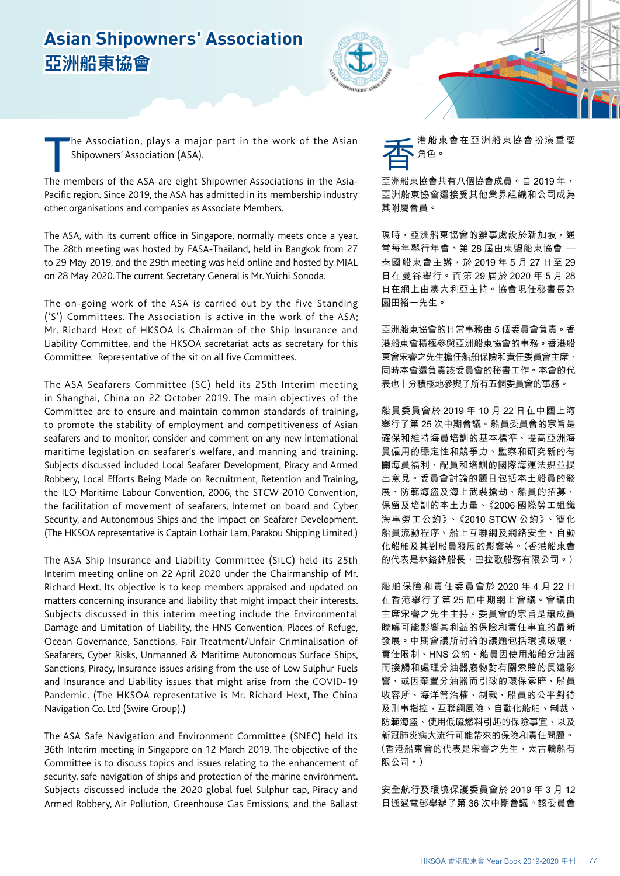## **Asian Shipowners' Association 亞洲船東協會**



The Association, plays a major part in the work of the Asian<br>Shipowners' Association (ASA).<br>The members of the ASA are eight Shipowner Associations in the Asiahe Association, plays a major part in the work of the Asian Shipowners' Association (ASA).

Pacific region. Since 2019, the ASA has admitted in its membership industry other organisations and companies as Associate Members.

The ASA, with its current office in Singapore, normally meets once a year. The 28th meeting was hosted by FASA-Thailand, held in Bangkok from 27 to 29 May 2019, and the 29th meeting was held online and hosted by MIAL on 28 May 2020. The current Secretary General is Mr. Yuichi Sonoda.

The on-going work of the ASA is carried out by the five Standing ('S') Committees. The Association is active in the work of the ASA; Mr. Richard Hext of HKSOA is Chairman of the Ship Insurance and Liability Committee, and the HKSOA secretariat acts as secretary for this Committee. Representative of the sit on all five Committees.

The ASA Seafarers Committee (SC) held its 25th Interim meeting in Shanghai, China on 22 October 2019. The main objectives of the Committee are to ensure and maintain common standards of training, to promote the stability of employment and competitiveness of Asian seafarers and to monitor, consider and comment on any new international maritime legislation on seafarer's welfare, and manning and training. Subjects discussed included Local Seafarer Development, Piracy and Armed Robbery, Local Efforts Being Made on Recruitment, Retention and Training, the ILO Maritime Labour Convention, 2006, the STCW 2010 Convention, the facilitation of movement of seafarers, Internet on board and Cyber Security, and Autonomous Ships and the Impact on Seafarer Development. (The HKSOA representative is Captain Lothair Lam, Parakou Shipping Limited.)

The ASA Ship Insurance and Liability Committee (SILC) held its 25th Interim meeting online on 22 April 2020 under the Chairmanship of Mr. Richard Hext. Its objective is to keep members appraised and updated on matters concerning insurance and liability that might impact their interests. Subjects discussed in this interim meeting include the Environmental Damage and Limitation of Liability, the HNS Convention, Places of Refuge, Ocean Governance, Sanctions, Fair Treatment/Unfair Criminalisation of Seafarers, Cyber Risks, Unmanned & Maritime Autonomous Surface Ships, Sanctions, Piracy, Insurance issues arising from the use of Low Sulphur Fuels and Insurance and Liability issues that might arise from the COVID-19 Pandemic. (The HKSOA representative is Mr. Richard Hext, The China Navigation Co. Ltd (Swire Group).)

The ASA Safe Navigation and Environment Committee (SNEC) held its 36th Interim meeting in Singapore on 12 March 2019. The objective of the Committee is to discuss topics and issues relating to the enhancement of security, safe navigation of ships and protection of the marine environment. Subjects discussed include the 2020 global fuel Sulphur cap, Piracy and Armed Robbery, Air Pollution, Greenhouse Gas Emissions, and the Ballast



亞洲船東協會共有八個協會成員。自 2019 年, 亞洲船東協會還接受其他業界組織和公司成為 其附屬會員。

現時,亞洲船東協會的辦事處設於新加坡,通 常每年舉行年會。第 28 屆由東盟船東協會 一 泰國船東會主辦,於 2019 年 5 月 27 日至 29 日在曼谷舉行。而第 29 屆於 2020 年 5 月 28 日在網上由澳大利亞主持。協會現任秘書長為 園田裕一先生。

亞洲船東協會的日常事務由 5 個委員會負責。香 港船東會積極參與亞洲船東協會的事務。香港船 東會宋睿之先生擔任船舶保險和責任委員會主席, 同時本會還負責該委員會的秘書工作。本會的代 表也十分積極地參與了所有五個委員會的事務。

船員委員會於 2019 年 10 月 22 日在中國上海 舉行了第 25 次中期會議。船員委員會的宗旨是 確保和維持海員培訓的基本標準、提高亞洲海 員僱用的穩定性和競爭力、監察和研究新的有 關海員福利、配員和培訓的國際海運法規並提 出意見。委員會討論的題目包括本土船員的發 展、防範海盜及海上武裝搶劫、船員的招募、 保留及培訓的本土力量、《2006 國際勞工組織 海事勞工公約》、《2010 STCW 公約》、簡化 船員流動程序、船上互聯網及網絡安全、自動 化船舶及其對船員發展的影響等。(香港船東會 的代表是林鉻鋒船長,巴拉歌船務有限公司。)

船舶保險和責任委員會於 2020 年 4 月 22 日 在香港舉行了第 25 屆中期網上會議。會議由 主席宋睿之先生主持。委員會的宗旨是讓成員 瞭解可能影響其利益的保險和責任事宜的最新 發展。中期會議所討論的議題包括環境破壞、 責任限制、HNS 公約、船員因使用船舶分油器 而接觸和處理分油器廢物對有關索賠的長遠影 響、或因棄置分油器而引致的環保索賠、船員 收容所、海洋管治權、制裁、船員的公平對待 及刑事指控、互聯網風險、自動化船舶、制裁、 防範海盜、使用低硫燃料引起的保險事宜、以及 新冠肺炎病大流行可能帶來的保險和責任問題。 (香港船東會的代表是宋睿之先生,太古輪船有 限公司。)

安全航行及環境保護委員會於 2019 年 3 月 12 日通過電郵舉辦了第 36 次中期會議。該委員會